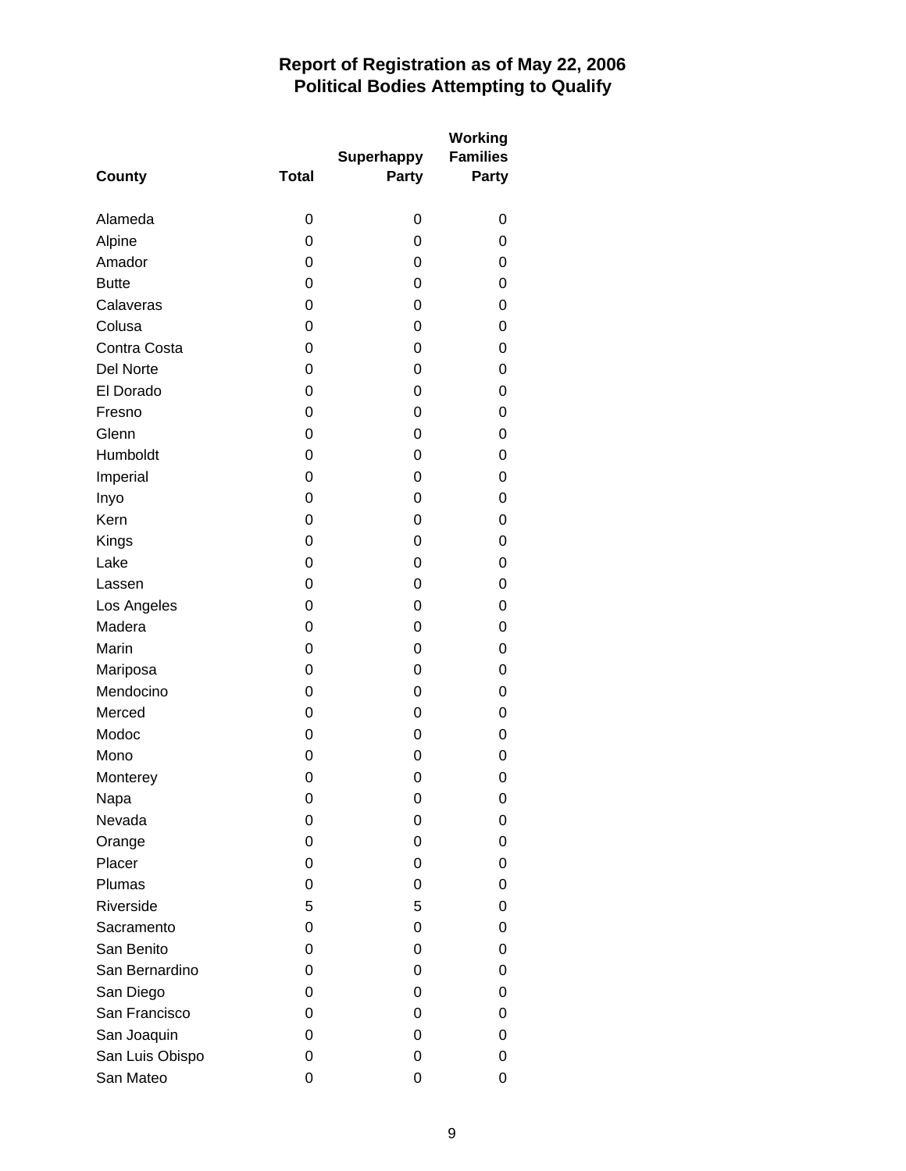## **Report of Registration as of May 22, 2006 Political Bodies Attempting to Qualify**

| <b>County</b>    | <b>Total</b> | <b>Superhappy</b><br>Party | <b>Working</b><br><b>Families</b><br>Party |
|------------------|--------------|----------------------------|--------------------------------------------|
| Alameda          | 0            | 0                          | 0                                          |
| Alpine           | 0            | 0                          | 0                                          |
| Amador           | 0            | 0                          | 0                                          |
| <b>Butte</b>     | 0            | 0                          | 0                                          |
| Calaveras        | 0            | 0                          | 0                                          |
| Colusa           | 0            | 0                          | 0                                          |
| Contra Costa     | 0            | 0                          | 0                                          |
| <b>Del Norte</b> | 0            | 0                          | 0                                          |
| El Dorado        | 0            | 0                          | 0                                          |
| Fresno           | 0            | $\mathbf 0$                | 0                                          |
| Glenn            | 0            | 0                          | 0                                          |
| Humboldt         | 0            | 0                          | 0                                          |
| Imperial         | 0            | 0                          | 0                                          |
| Inyo             | 0            | 0                          | 0                                          |
| Kern             | 0            | 0                          | 0                                          |
| Kings            | 0            | 0                          | 0                                          |
| Lake             | 0            | 0                          | 0                                          |
| Lassen           | 0            | 0                          | 0                                          |
| Los Angeles      | 0            | 0                          | 0                                          |
| Madera           | 0            | 0                          | 0                                          |
| Marin            | 0            | 0                          | 0                                          |
| Mariposa         | 0            | 0                          | 0                                          |
| Mendocino        | 0            | 0                          | 0                                          |
| Merced           | 0            | 0                          | 0                                          |
| Modoc            | 0            | 0                          | 0                                          |
| Mono             | 0            | 0                          | 0                                          |
| Monterey         | 0            | 0                          | 0                                          |
| Napa             | 0            | 0                          | 0                                          |
| Nevada           | 0            | 0                          | 0                                          |
| Orange           | 0            | 0                          | 0                                          |
| Placer           | 0            | 0                          | 0                                          |
| Plumas           | 0            | 0                          | 0                                          |
| Riverside        | 5            | 5                          | 0                                          |
| Sacramento       | 0            | 0                          | 0                                          |
| San Benito       | 0            | 0                          | 0                                          |
| San Bernardino   | 0            | 0                          | 0                                          |
| San Diego        | 0            | 0                          | 0                                          |
| San Francisco    | 0            | 0                          | 0                                          |
| San Joaquin      | 0            | 0                          | 0                                          |
| San Luis Obispo  | 0            | 0                          | 0                                          |
| San Mateo        | 0            | 0                          | 0                                          |